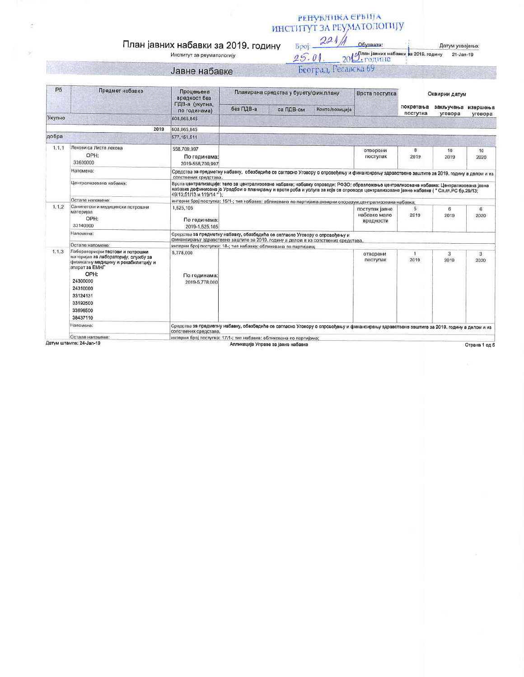## РЕНУБЛИКА СРБИЈА<br>ИНСТИТУТ ЗА РЕУМАТОЛОГИЈУ

Обухвата:

## План јавних набавки за 2019. годину

Институт за реуматологију

|  | Јавне набавке |  |
|--|---------------|--|
|  |               |  |

| 9.5.01  | $2019$ , годин (авних набавки за 2019. годину |  |
|---------|-----------------------------------------------|--|
| beorpa. |                                               |  |

Број:

 $221$ 

| P6     | Предмет набавке                                                                                                                             | <b>Процењена</b><br>вредност без                                                                                                                                                                                                                                                                            | Планирана средства у буџету/фин.плану |           | Врста поступка: | Оквирни датум                               |                       |                               |            |
|--------|---------------------------------------------------------------------------------------------------------------------------------------------|-------------------------------------------------------------------------------------------------------------------------------------------------------------------------------------------------------------------------------------------------------------------------------------------------------------|---------------------------------------|-----------|-----------------|---------------------------------------------|-----------------------|-------------------------------|------------|
|        |                                                                                                                                             | ПДВ-а (укупна,<br>по годинама)                                                                                                                                                                                                                                                                              | без ПДВ-а                             | са ПДВ-ом | Конто/позиција  |                                             | покретања<br>поступка | закључења извршења<br>уговора | уговора    |
| Укупно |                                                                                                                                             | 608,065,845                                                                                                                                                                                                                                                                                                 |                                       |           |                 |                                             |                       |                               |            |
|        | 2019                                                                                                                                        | 608.065.845                                                                                                                                                                                                                                                                                                 |                                       |           |                 |                                             |                       |                               |            |
| добра  |                                                                                                                                             | 577, 151, 511                                                                                                                                                                                                                                                                                               |                                       |           |                 |                                             |                       |                               |            |
| 1.1.1  | Лекови са Листе лекова<br>OPH:<br>33600000                                                                                                  | 558,709,997<br>По годинама:<br>2019-558,709,997                                                                                                                                                                                                                                                             |                                       |           |                 | отворени<br>поступак                        | 8<br>2019             | 10<br>2019                    | 10<br>2020 |
|        | Напомена:                                                                                                                                   | Средства за предметну набавку, обезбедиће се сагласно Уговору о спровођењу и финансирању здравствене заштите за 2019. годину а делом и из<br>сопствених средстава.                                                                                                                                          |                                       |           |                 |                                             |                       |                               |            |
|        | Централизована набавка:                                                                                                                     | Врста централизације: тело за централизоване набавке; набавку спроводи: РФЗО; образложење централизоване набавке: Централизована јавна<br>набавка дефинисана је Уредбом о планирању и врсти роба и услуга за које се спроводе централизоване јавне набавке ( " Сл.гл.РС бр.29/13<br>49/13:51/13 и 119/14"). |                                       |           |                 |                                             |                       |                               |            |
|        | Остале напомене:                                                                                                                            | интерни број поступка: 15/1-; тип набавке: обликована по партијама,оквирни споразум,централизована набавка;                                                                                                                                                                                                 |                                       |           |                 |                                             |                       |                               |            |
| 1.1.2  | Санитетски и медицински потрошни<br>материјал<br>OPH:<br>33140000                                                                           | 1,525,105<br>По годинама:<br>2019-1.525.105                                                                                                                                                                                                                                                                 |                                       |           |                 | поступак јавне<br>набавке мале<br>вредности | 5<br>2019             | 6<br>2019                     | 6<br>2020  |
|        | Hanomena:                                                                                                                                   | Средства за предметну набавку, обезбедиће се сагласно Уговору о спровођењу и<br>финансирању здравствене заштите за 2019, годину а делом и из сопствених средстава.                                                                                                                                          |                                       |           |                 |                                             |                       |                               |            |
|        | Остале напомене:                                                                                                                            | интерни број поступка: 18-; тип набавке: обликована по партијама;                                                                                                                                                                                                                                           |                                       |           |                 |                                             |                       |                               |            |
| 1.1.3  | Пабораторисјки тестови и потрошни<br>материјал за лабораторију, службу за<br>физикалну медицину и рехабилитцију и<br>anapat 3a EMHF<br>OPH: | 5,778,000<br>По годинама:                                                                                                                                                                                                                                                                                   |                                       |           |                 | отворени<br>поступак                        | 1<br>2019             | з<br>2019                     | 3.<br>2020 |
|        | 24300000<br>24310000<br>33124131                                                                                                            | 2019-5,778,000                                                                                                                                                                                                                                                                                              |                                       |           |                 |                                             |                       |                               |            |
|        | 33192500<br>33696500                                                                                                                        |                                                                                                                                                                                                                                                                                                             |                                       |           |                 |                                             |                       |                               |            |
|        | 38437110                                                                                                                                    |                                                                                                                                                                                                                                                                                                             |                                       |           |                 |                                             |                       |                               |            |
|        | Напомена:                                                                                                                                   | Средства за предметну набавку, обезбедиће се сагласно Уговору о спровођењу и финансирању здравствене заштите за 2019. годину а делом и из<br>солствених средстава                                                                                                                                           |                                       |           |                 |                                             |                       |                               |            |
|        | Остале напомене:                                                                                                                            | интерни број поступка: 17/1-; тип набавке: обликована по партијама;                                                                                                                                                                                                                                         |                                       |           |                 |                                             |                       |                               |            |

атум штампе: 24-Jan-19

Апликација Управе за јавне набавке

Страна 1 од 5

Датум усвајања:

21-Jan-19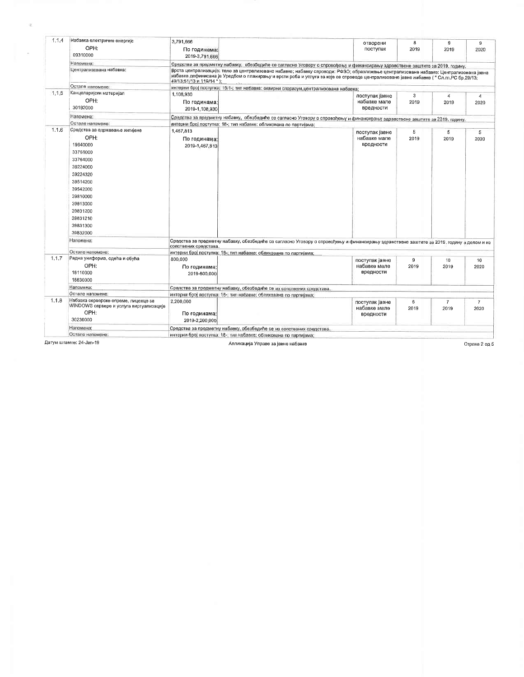| 1.1.4 | Набавка електричне енергије<br>OPH:<br>09310000                                                                                                                  | 3,791,666<br>По годинама:<br>2019-3,791.666                                                                                                                                                                                                                                                                                                                                                                                                    | отворени<br>поступак                        | 8<br>2019 | 9<br>2019       | 9<br>2020      |  |  |
|-------|------------------------------------------------------------------------------------------------------------------------------------------------------------------|------------------------------------------------------------------------------------------------------------------------------------------------------------------------------------------------------------------------------------------------------------------------------------------------------------------------------------------------------------------------------------------------------------------------------------------------|---------------------------------------------|-----------|-----------------|----------------|--|--|
|       | Напомена:                                                                                                                                                        |                                                                                                                                                                                                                                                                                                                                                                                                                                                |                                             |           |                 |                |  |  |
|       | Централизована набавка:                                                                                                                                          | Средства за предметну набавку, обезбедиће се сагласно Уговору о спровођењу и финансирању здравствене заштите за 2019. годину.<br>Врста централизације: тело за централизоване набавке; набавку спроводи: РФЗО; образложење централизоване набавке: Централизована јавна<br>набавка дефинисана је Уредбом о планирању и врсти роба и услуга за које се спроводе централизоване јавне набавке ( " Сл.гл.РС бр.29/13;<br>49/13;51/13 и 119/14 "); |                                             |           |                 |                |  |  |
|       | Остале напомене:                                                                                                                                                 | интерни број поступка: 15/1-; тип набавке: оквирни споразум, централизована набавка;                                                                                                                                                                                                                                                                                                                                                           |                                             |           |                 |                |  |  |
| 1.1.5 | Канцеларијски материјал                                                                                                                                          | 1,108,930                                                                                                                                                                                                                                                                                                                                                                                                                                      | поступак јавне                              | 3         | $\overline{4}$  | $\overline{4}$ |  |  |
|       | OPH:<br>30192000                                                                                                                                                 | По годинама:<br>2019-1,108,930                                                                                                                                                                                                                                                                                                                                                                                                                 | набавке мале<br>вредности                   | 2019      | 2019            | 2020           |  |  |
|       | Напомена:                                                                                                                                                        | Средства за предметну набавку, обезбедиће се сагласно Уговору о спровођењу и финансирању здравствене заштите за 2019. годину.                                                                                                                                                                                                                                                                                                                  |                                             |           |                 |                |  |  |
|       | Остале напомене:                                                                                                                                                 | интерни број поступка: 18-; тип набавке: обликована по партијама:                                                                                                                                                                                                                                                                                                                                                                              |                                             |           |                 |                |  |  |
| 1.1.6 | Средства за одржавање хигијене                                                                                                                                   | 1,467,813                                                                                                                                                                                                                                                                                                                                                                                                                                      |                                             |           |                 |                |  |  |
|       | OPH:<br>19640000<br>33761000<br>33764000<br>39224000<br>39224320<br>39514200<br>39542000<br>39810000<br>39813000<br>39831200<br>39831210<br>39831300<br>39832000 | По годинама:<br>2019-1,467,813                                                                                                                                                                                                                                                                                                                                                                                                                 | поступак јавне<br>набавке мале<br>вредности | 5<br>2019 | 5<br>2019       | 5<br>2020      |  |  |
|       | Напомена:                                                                                                                                                        | Средства за предметну набавку, обезбедиће се сагласно Уговору о спровођењу и финансирању здравствене заштите за 2019, годину а делом и из                                                                                                                                                                                                                                                                                                      |                                             |           |                 |                |  |  |
|       | Остале напомене:                                                                                                                                                 | сопствених средстава.<br>интерни број поступка: 18-; тип набавке: обликована по партијама:                                                                                                                                                                                                                                                                                                                                                     |                                             |           |                 |                |  |  |
| 1.1.7 | Радна униформа, одећа и обућа                                                                                                                                    | 800,000                                                                                                                                                                                                                                                                                                                                                                                                                                        |                                             | 9         | 10 <sup>1</sup> | 10             |  |  |
|       | OPH:                                                                                                                                                             | По годинама:                                                                                                                                                                                                                                                                                                                                                                                                                                   | поступак јавне<br>набавке мале              | 2019      | 2019            | 2020           |  |  |
|       | 18110000                                                                                                                                                         | 2019-800,000                                                                                                                                                                                                                                                                                                                                                                                                                                   | вредности                                   |           |                 |                |  |  |
|       | 18830000                                                                                                                                                         |                                                                                                                                                                                                                                                                                                                                                                                                                                                |                                             |           |                 |                |  |  |
|       | Напомена:                                                                                                                                                        |                                                                                                                                                                                                                                                                                                                                                                                                                                                |                                             |           |                 |                |  |  |
|       | Остале напомене:                                                                                                                                                 | Средства за предметну набавку, обезбедиће се из сопствених средстава.<br>интерни број поступка: 18-; тип набавке: обликована по партијама:                                                                                                                                                                                                                                                                                                     |                                             |           |                 |                |  |  |
| 1.1.8 | Набавка серверске опреме, лиценце за                                                                                                                             | 2,200,000                                                                                                                                                                                                                                                                                                                                                                                                                                      | поступак јавне                              | 6         | $\overline{7}$  | $\overline{7}$ |  |  |
|       | WINDOWS сервере и услуга виртуализације<br>OPH:                                                                                                                  | По годинама:                                                                                                                                                                                                                                                                                                                                                                                                                                   | набавке мале<br>вредности                   | 2019      | 2019            | 2020           |  |  |
|       | 30230000                                                                                                                                                         | 2019-2.200.000                                                                                                                                                                                                                                                                                                                                                                                                                                 |                                             |           |                 |                |  |  |
|       | Напомена:                                                                                                                                                        | Средства за предметну набавку, обезбедиће се из сопствених средстава.                                                                                                                                                                                                                                                                                                                                                                          |                                             |           |                 |                |  |  |
|       | Остале напомене:                                                                                                                                                 | интерни број поступка: 18-; тип набавке: обликована по партијама:                                                                                                                                                                                                                                                                                                                                                                              |                                             |           |                 |                |  |  |

 $\sim$ 

 $\sim$ 

Апликација Управе за јавне набавке

Страна 2 од 5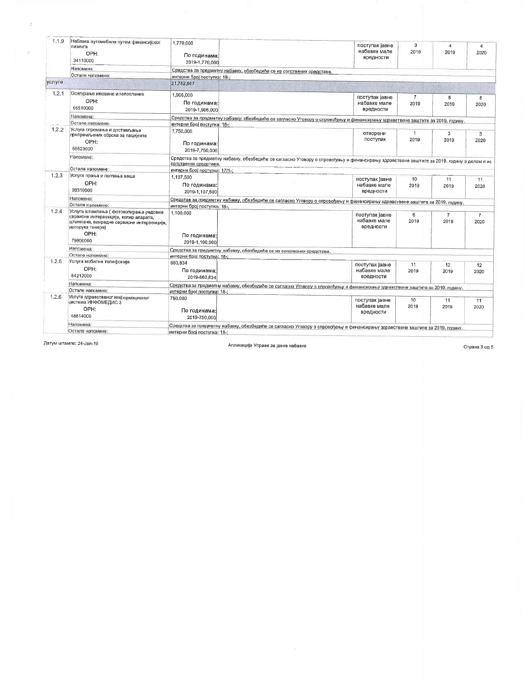| 1.1.9  | Набавка аутомобила путем финансијског<br>лизинга<br>OPH:<br>34110000                                                                                                | 1,770,000<br>По годинама:<br>2019-1,770,000                                                                                                                        | поступак јавне<br>набавке мале<br>вредности | з<br>2019              | 4<br>2019              | 4<br>2020            |  |  |
|--------|---------------------------------------------------------------------------------------------------------------------------------------------------------------------|--------------------------------------------------------------------------------------------------------------------------------------------------------------------|---------------------------------------------|------------------------|------------------------|----------------------|--|--|
|        | Напомена:                                                                                                                                                           | Средства за предметну набавку, обезбедиће се из сопствених средстава,                                                                                              |                                             |                        |                        |                      |  |  |
|        | Остале напомене:                                                                                                                                                    | интерни број поступка: 18-:                                                                                                                                        |                                             |                        |                        |                      |  |  |
| услуге |                                                                                                                                                                     | 21,782,667                                                                                                                                                         |                                             |                        |                        |                      |  |  |
| 1.2.1  | Осигурање имовине и запослених                                                                                                                                      | 1,906,000                                                                                                                                                          |                                             |                        |                        |                      |  |  |
|        | OPH:<br>66510000                                                                                                                                                    | По годинама:<br>2019-1,906,000                                                                                                                                     | поступак јавне<br>набавке мале<br>вредности | $\overline{7}$<br>2019 | 8<br>2019              | 8<br>2020            |  |  |
|        | Напомена:                                                                                                                                                           |                                                                                                                                                                    |                                             |                        |                        |                      |  |  |
|        | Остале напомене:                                                                                                                                                    | Средства за предметну набавку, обезбедиће се сагласно Уговору о спровођењу и финансирању здравствене заштите за 2019. годину.<br>интерни број поступка: 18-:       |                                             |                        |                        |                      |  |  |
| 1,2.2  | Услуга спремања и достављања<br>припремљених оброка за пацијенте                                                                                                    | 7,750,000                                                                                                                                                          | отворени                                    | $\overline{1}$         | 3                      | 3                    |  |  |
|        | OPH:<br>55523000                                                                                                                                                    | По годинама:<br>2019-7.750.000                                                                                                                                     | поступак                                    | 2019                   | 2019                   | 2020                 |  |  |
|        | Напомена:                                                                                                                                                           | Средства за предметну набавку, обезбедиће се сагласно Уговору о спровођењу и финансирању здравствене заштите за 2019. годину а делом и из<br>сопствених средстава. |                                             |                        |                        |                      |  |  |
|        | Остале напомене:                                                                                                                                                    | интерни број поступка: 17/1-;                                                                                                                                      |                                             |                        |                        |                      |  |  |
| 1.2.3  | Услуга прања и пеглања веша<br>OPH:<br>98310000                                                                                                                     | 1.107.500<br>По годинама:<br>2019-1,107,500                                                                                                                        | поступак авне<br>набавке мале<br>вредности  | 10<br>2019             | 11<br>2019             | 11<br>2020           |  |  |
|        | Напомена:                                                                                                                                                           |                                                                                                                                                                    |                                             |                        |                        |                      |  |  |
|        | Остале напомене:                                                                                                                                                    | Средстав за предметну набавку, обезбедиће се сагласно Уговору о спровођењу и финансирању здравствене заштите за 2019. годину.<br>интерни број поступка: 18-;       |                                             |                        |                        |                      |  |  |
| 1.2.4  | Услуга штампања (фотокопирања редовне<br>сервисне интервенције, копир апарата,<br>штампача, ванредне сервисне интервенције,<br>испорука тонера)<br>OPH:<br>79800000 | 1,100,000<br>По годинама:<br>2019-1,100,000                                                                                                                        | поступак јавне<br>набавке мале<br>вредности | 6<br>2019              | $\overline{7}$<br>2019 | $\mathbf{7}$<br>2020 |  |  |
|        | Напомена:                                                                                                                                                           | Средства за предметну набавку, обезбедиће се из сопствених средстава,                                                                                              |                                             |                        |                        |                      |  |  |
|        | Остале напомене:                                                                                                                                                    | интерни број поступка: 18-;                                                                                                                                        |                                             |                        |                        |                      |  |  |
| 1.2.5  | Услуга мобилне телефоније<br>OPH:<br>64212000                                                                                                                       | 660,834<br>По годинама:<br>2019-660.834                                                                                                                            | поступак Јавне<br>набавке мале<br>вредности | 11<br>2019             | 12<br>2019             | 12<br>2020           |  |  |
|        | Напомена:                                                                                                                                                           | Средства за предметну набавку, обезбедиће се сагласно Уговору о спровођењу и финансирању здравствене заштите за 2019. годину.                                      |                                             |                        |                        |                      |  |  |
|        | Остале напомене:                                                                                                                                                    | интерни број поступка: 18-:                                                                                                                                        |                                             |                        |                        |                      |  |  |
| 1.2.6  | Услуга здравственог информационог<br>система ИНФОМЕДИС 3<br>OPH:<br>48814000                                                                                        | 750,000<br>По годинама:<br>2019-750,000                                                                                                                            | поступак јавне<br>набавке мале<br>вредности | 10<br>2019             | 11<br>2019             | 11<br>2020           |  |  |
|        | Напомена:<br>Остале напомене:                                                                                                                                       | Средства за предметну набавку, обезбедиће се сагласно Уговору о спровођењу и финансирању здравствене заштите за 2019. годину.<br>интерни број поступка: 18-;       |                                             |                        |                        |                      |  |  |

 $\mathbb{C}$ 

 $\bar{\omega}$ 

Апликација Управе за јавне набавке

Страна 3 од 5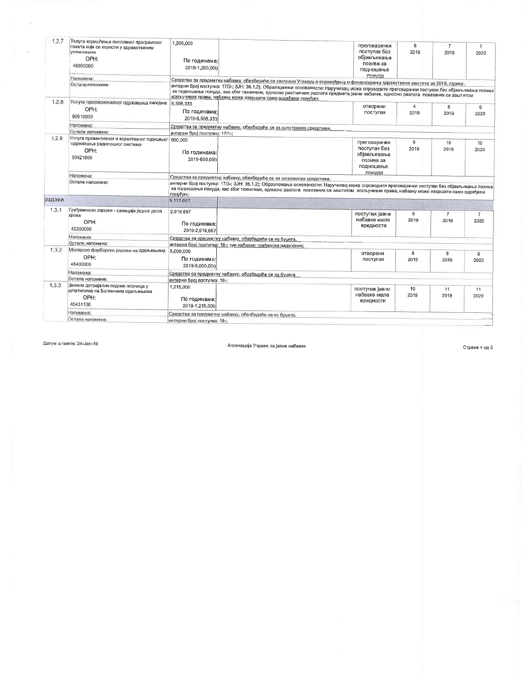| Напомена:<br>Средства за предметну набавку, обезбедиће се саглсано Уговору о спровођењу и финансирању здравствене заштите за 2019. годину.<br>Остале напомене:<br>за подношење понуда, ако због техничких, односно уметничких разлога предмета јавне набавке, односно разлога повезаних са заштитом<br>искључивих права, набавку може извршити само одређени понуђач;<br>1.2.8<br>Услуга професионалног одржавања хигијене<br>6,508,333<br>отворени<br>4<br>6<br>OPH:<br>По годинама:<br>поступак<br>2019<br>2019<br>90910000<br>2019-6,508,333<br>Напомена:<br>Средства за предметну набавку, обезбедиће се из сопствених средстава.<br>Остале напомене:<br>интерни број поступка: 17/1-:<br>1.2.9<br>Услуга превентивног и корективног годишњег 800,000<br>9<br>преговарачки<br>10<br>одржавања радилошког система<br>поступак без<br>2019<br>2019<br>OPH:<br>По годинама:<br>обіављивања<br>50421000<br>2019-800.000<br>позива за<br>подношење<br>понуда<br>Напомена:<br>Средства за предметну набавку, обезбедиће се из сопствених средстава.<br>Остале напомене:<br>интерни број поступка: 17/3-; ЗЈН: 36.1.2); Образложење основаности: Наручилац може спроводити преговарачки поступак без објављивања позива<br>за подношење понуда, ако због техничких, односно разлога повезаних са заштитом искључивих права, набавку може извршити само одређени<br>понуђач;<br>9,131,667<br>1,3.1<br>Грађевински радови - санација једног дела<br>2,916,667<br>поступак јавне<br>6<br>$\overline{7}$<br>$\overline{7}$<br>крова<br>набавке мале<br>2019<br>2019<br>OPH:<br>По годинама:<br>вредности<br>45260000<br>2019-2.916.667<br>Напомена:<br>Средства за предметну набавку, обезбедиће се из буџета.<br>Остале напомене:<br>интерни број поступка: 18-; тип набавке: грађански надзорник;<br>1.3.2<br>Молерско фарбарски радови на одељењима<br>5,000,000<br>8<br>9<br>отворени<br>9<br>OPH:<br>По годинама:<br>2019<br>поступак<br>2019<br>45400000<br>2019-5.000.000<br>Напомена:<br>Средства са предметну набавку, обезбедиће се из буџета<br>Остале напомене:<br>интерни број поступка: 18-:<br>1,3,3<br>Замена дотрајалих подних плочица у<br>1,215,000<br>10<br>поступак Јавне<br>11<br>11<br>купатилима на Болничким одељењима<br>набавке мале<br>2019<br>2019<br>OPH:<br>По годинама:<br>вредности<br>45431100<br>2019-1.215.000<br>Напомена:<br>Средства за предметну набавку, обезбедиће се из буџета. | 1.2.7 | Услуга коришћења пословног програмског<br>пакета који се користи у здравственим<br>установама<br>OPH:<br>48000000 | 1,200,000<br>По годинама:<br>2019-1,200,000 | преговарачки<br>поступак без<br>објављивања<br>позива за<br>подношење                                                                       | 6<br>2019 | $\overline{7}$<br>2019 | 7<br>2020  |  |  |
|---------------------------------------------------------------------------------------------------------------------------------------------------------------------------------------------------------------------------------------------------------------------------------------------------------------------------------------------------------------------------------------------------------------------------------------------------------------------------------------------------------------------------------------------------------------------------------------------------------------------------------------------------------------------------------------------------------------------------------------------------------------------------------------------------------------------------------------------------------------------------------------------------------------------------------------------------------------------------------------------------------------------------------------------------------------------------------------------------------------------------------------------------------------------------------------------------------------------------------------------------------------------------------------------------------------------------------------------------------------------------------------------------------------------------------------------------------------------------------------------------------------------------------------------------------------------------------------------------------------------------------------------------------------------------------------------------------------------------------------------------------------------------------------------------------------------------------------------------------------------------------------------------------------------------------------------------------------------------------------------------------------------------------------------------------------------------------------------------------------------------------------------------------------------------------------------------------------------------------------------------------------------------------------------------------------------------------------------------------------------------------------------------------------------|-------|-------------------------------------------------------------------------------------------------------------------|---------------------------------------------|---------------------------------------------------------------------------------------------------------------------------------------------|-----------|------------------------|------------|--|--|
|                                                                                                                                                                                                                                                                                                                                                                                                                                                                                                                                                                                                                                                                                                                                                                                                                                                                                                                                                                                                                                                                                                                                                                                                                                                                                                                                                                                                                                                                                                                                                                                                                                                                                                                                                                                                                                                                                                                                                                                                                                                                                                                                                                                                                                                                                                                                                                                                                     |       |                                                                                                                   |                                             | понуда                                                                                                                                      |           |                        |            |  |  |
|                                                                                                                                                                                                                                                                                                                                                                                                                                                                                                                                                                                                                                                                                                                                                                                                                                                                                                                                                                                                                                                                                                                                                                                                                                                                                                                                                                                                                                                                                                                                                                                                                                                                                                                                                                                                                                                                                                                                                                                                                                                                                                                                                                                                                                                                                                                                                                                                                     |       |                                                                                                                   |                                             | интерни број поступка: 17/3-; ЗЈН: 36.1.2); Образложење основаности: Наручилац може спроводити преговарачки поступак без објављивања позива |           |                        |            |  |  |
|                                                                                                                                                                                                                                                                                                                                                                                                                                                                                                                                                                                                                                                                                                                                                                                                                                                                                                                                                                                                                                                                                                                                                                                                                                                                                                                                                                                                                                                                                                                                                                                                                                                                                                                                                                                                                                                                                                                                                                                                                                                                                                                                                                                                                                                                                                                                                                                                                     |       |                                                                                                                   |                                             |                                                                                                                                             |           |                        | 6<br>2020  |  |  |
|                                                                                                                                                                                                                                                                                                                                                                                                                                                                                                                                                                                                                                                                                                                                                                                                                                                                                                                                                                                                                                                                                                                                                                                                                                                                                                                                                                                                                                                                                                                                                                                                                                                                                                                                                                                                                                                                                                                                                                                                                                                                                                                                                                                                                                                                                                                                                                                                                     |       |                                                                                                                   |                                             |                                                                                                                                             |           |                        |            |  |  |
|                                                                                                                                                                                                                                                                                                                                                                                                                                                                                                                                                                                                                                                                                                                                                                                                                                                                                                                                                                                                                                                                                                                                                                                                                                                                                                                                                                                                                                                                                                                                                                                                                                                                                                                                                                                                                                                                                                                                                                                                                                                                                                                                                                                                                                                                                                                                                                                                                     |       |                                                                                                                   |                                             |                                                                                                                                             |           |                        |            |  |  |
|                                                                                                                                                                                                                                                                                                                                                                                                                                                                                                                                                                                                                                                                                                                                                                                                                                                                                                                                                                                                                                                                                                                                                                                                                                                                                                                                                                                                                                                                                                                                                                                                                                                                                                                                                                                                                                                                                                                                                                                                                                                                                                                                                                                                                                                                                                                                                                                                                     |       |                                                                                                                   |                                             |                                                                                                                                             |           |                        | 10<br>2020 |  |  |
| радови                                                                                                                                                                                                                                                                                                                                                                                                                                                                                                                                                                                                                                                                                                                                                                                                                                                                                                                                                                                                                                                                                                                                                                                                                                                                                                                                                                                                                                                                                                                                                                                                                                                                                                                                                                                                                                                                                                                                                                                                                                                                                                                                                                                                                                                                                                                                                                                                              |       |                                                                                                                   |                                             |                                                                                                                                             |           |                        |            |  |  |
|                                                                                                                                                                                                                                                                                                                                                                                                                                                                                                                                                                                                                                                                                                                                                                                                                                                                                                                                                                                                                                                                                                                                                                                                                                                                                                                                                                                                                                                                                                                                                                                                                                                                                                                                                                                                                                                                                                                                                                                                                                                                                                                                                                                                                                                                                                                                                                                                                     |       |                                                                                                                   |                                             |                                                                                                                                             |           |                        |            |  |  |
|                                                                                                                                                                                                                                                                                                                                                                                                                                                                                                                                                                                                                                                                                                                                                                                                                                                                                                                                                                                                                                                                                                                                                                                                                                                                                                                                                                                                                                                                                                                                                                                                                                                                                                                                                                                                                                                                                                                                                                                                                                                                                                                                                                                                                                                                                                                                                                                                                     |       |                                                                                                                   |                                             |                                                                                                                                             |           |                        |            |  |  |
|                                                                                                                                                                                                                                                                                                                                                                                                                                                                                                                                                                                                                                                                                                                                                                                                                                                                                                                                                                                                                                                                                                                                                                                                                                                                                                                                                                                                                                                                                                                                                                                                                                                                                                                                                                                                                                                                                                                                                                                                                                                                                                                                                                                                                                                                                                                                                                                                                     |       |                                                                                                                   |                                             |                                                                                                                                             |           |                        | 2020       |  |  |
|                                                                                                                                                                                                                                                                                                                                                                                                                                                                                                                                                                                                                                                                                                                                                                                                                                                                                                                                                                                                                                                                                                                                                                                                                                                                                                                                                                                                                                                                                                                                                                                                                                                                                                                                                                                                                                                                                                                                                                                                                                                                                                                                                                                                                                                                                                                                                                                                                     |       |                                                                                                                   |                                             |                                                                                                                                             |           |                        |            |  |  |
|                                                                                                                                                                                                                                                                                                                                                                                                                                                                                                                                                                                                                                                                                                                                                                                                                                                                                                                                                                                                                                                                                                                                                                                                                                                                                                                                                                                                                                                                                                                                                                                                                                                                                                                                                                                                                                                                                                                                                                                                                                                                                                                                                                                                                                                                                                                                                                                                                     |       |                                                                                                                   |                                             |                                                                                                                                             |           |                        |            |  |  |
|                                                                                                                                                                                                                                                                                                                                                                                                                                                                                                                                                                                                                                                                                                                                                                                                                                                                                                                                                                                                                                                                                                                                                                                                                                                                                                                                                                                                                                                                                                                                                                                                                                                                                                                                                                                                                                                                                                                                                                                                                                                                                                                                                                                                                                                                                                                                                                                                                     |       |                                                                                                                   |                                             |                                                                                                                                             |           |                        | 2020       |  |  |
|                                                                                                                                                                                                                                                                                                                                                                                                                                                                                                                                                                                                                                                                                                                                                                                                                                                                                                                                                                                                                                                                                                                                                                                                                                                                                                                                                                                                                                                                                                                                                                                                                                                                                                                                                                                                                                                                                                                                                                                                                                                                                                                                                                                                                                                                                                                                                                                                                     |       |                                                                                                                   |                                             |                                                                                                                                             |           |                        |            |  |  |
|                                                                                                                                                                                                                                                                                                                                                                                                                                                                                                                                                                                                                                                                                                                                                                                                                                                                                                                                                                                                                                                                                                                                                                                                                                                                                                                                                                                                                                                                                                                                                                                                                                                                                                                                                                                                                                                                                                                                                                                                                                                                                                                                                                                                                                                                                                                                                                                                                     |       |                                                                                                                   |                                             |                                                                                                                                             |           |                        |            |  |  |
|                                                                                                                                                                                                                                                                                                                                                                                                                                                                                                                                                                                                                                                                                                                                                                                                                                                                                                                                                                                                                                                                                                                                                                                                                                                                                                                                                                                                                                                                                                                                                                                                                                                                                                                                                                                                                                                                                                                                                                                                                                                                                                                                                                                                                                                                                                                                                                                                                     |       |                                                                                                                   |                                             |                                                                                                                                             |           |                        | 2020       |  |  |
|                                                                                                                                                                                                                                                                                                                                                                                                                                                                                                                                                                                                                                                                                                                                                                                                                                                                                                                                                                                                                                                                                                                                                                                                                                                                                                                                                                                                                                                                                                                                                                                                                                                                                                                                                                                                                                                                                                                                                                                                                                                                                                                                                                                                                                                                                                                                                                                                                     |       | Остале напомене:                                                                                                  | интерни број поступка: 18-;                 |                                                                                                                                             |           |                        |            |  |  |

è

Апликација Управе за Јавне набавке

Страна 4 од 5